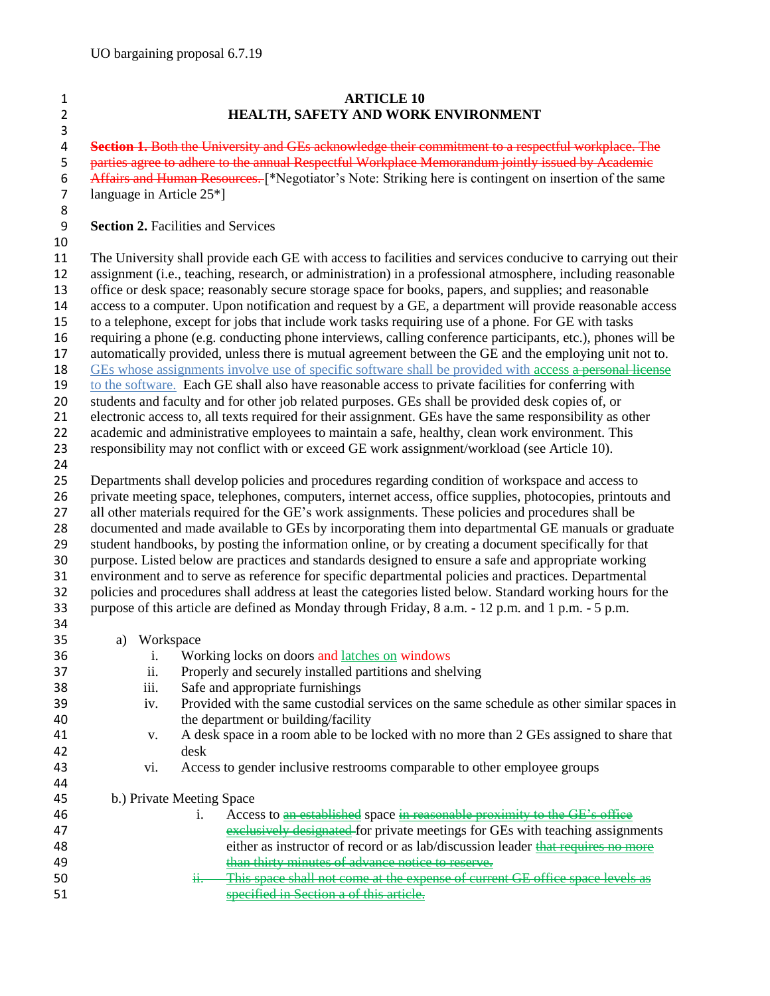## **ARTICLE 10 HEALTH, SAFETY AND WORK ENVIRONMENT**

 **Section 1.** Both the University and GEs acknowledge their commitment to a respectful workplace. The 5 parties agree to adhere to the annual Respectful Workplace Memorandum jointly issued by Academic 6 Affairs and Human Resources. [\*Negotiator's Note: Striking here is contingent on insertion of the same<br>7 language in Article 25\*] language in Article  $25*$ ]

## **Section 2.** Facilities and Services

## 

 The University shall provide each GE with access to facilities and services conducive to carrying out their assignment (i.e., teaching, research, or administration) in a professional atmosphere, including reasonable office or desk space; reasonably secure storage space for books, papers, and supplies; and reasonable access to a computer. Upon notification and request by a GE, a department will provide reasonable access to a telephone, except for jobs that include work tasks requiring use of a phone. For GE with tasks requiring a phone (e.g. conducting phone interviews, calling conference participants, etc.), phones will be automatically provided, unless there is mutual agreement between the GE and the employing unit not to.

18 GEs whose assignments involve use of specific software shall be provided with access a personal license

to the software. Each GE shall also have reasonable access to private facilities for conferring with

students and faculty and for other job related purposes. GEs shall be provided desk copies of, or

electronic access to, all texts required for their assignment. GEs have the same responsibility as other

academic and administrative employees to maintain a safe, healthy, clean work environment. This

responsibility may not conflict with or exceed GE work assignment/workload (see Article 10).

 Departments shall develop policies and procedures regarding condition of workspace and access to private meeting space, telephones, computers, internet access, office supplies, photocopies, printouts and 27 all other materials required for the GE's work assignments. These policies and procedures shall be documented and made available to GEs by incorporating them into departmental GE manuals or graduate student handbooks, by posting the information online, or by creating a document specifically for that purpose. Listed below are practices and standards designed to ensure a safe and appropriate working environment and to serve as reference for specific departmental policies and practices. Departmental policies and procedures shall address at least the categories listed below. Standard working hours for the purpose of this article are defined as Monday through Friday, 8 a.m. - 12 p.m. and 1 p.m. - 5 p.m.

a) Workspace

| 36 | 1.   | Working locks on doors and latches on windows                                                   |
|----|------|-------------------------------------------------------------------------------------------------|
| 37 | 11.  | Properly and securely installed partitions and shelving                                         |
| 38 | 111. | Safe and appropriate furnishings                                                                |
| 39 | 1V.  | Provided with the same custodial services on the same schedule as other similar spaces in       |
| 40 |      | the department or building/facility                                                             |
| 41 | V.   | A desk space in a room able to be locked with no more than 2 GEs assigned to share that         |
| 42 |      | desk                                                                                            |
| 43 | V1.  | Access to gender inclusive restrooms comparable to other employee groups                        |
| 44 |      |                                                                                                 |
| 45 |      | b.) Private Meeting Space                                                                       |
| 46 |      | Access to an established space in reasonable proximity to the GE's office                       |
| 47 |      | exclusively designated for private meetings for GEs with teaching assignments                   |
| 48 |      | either as instructor of record or as lab/discussion leader that requires no more                |
| 49 |      | than thirty minutes of advance notice to reserve.                                               |
| 50 |      | This space shall not come at the expense of current GE office space levels as<br>H <sub>z</sub> |
| 51 |      | <del>ed in Section a of this article</del>                                                      |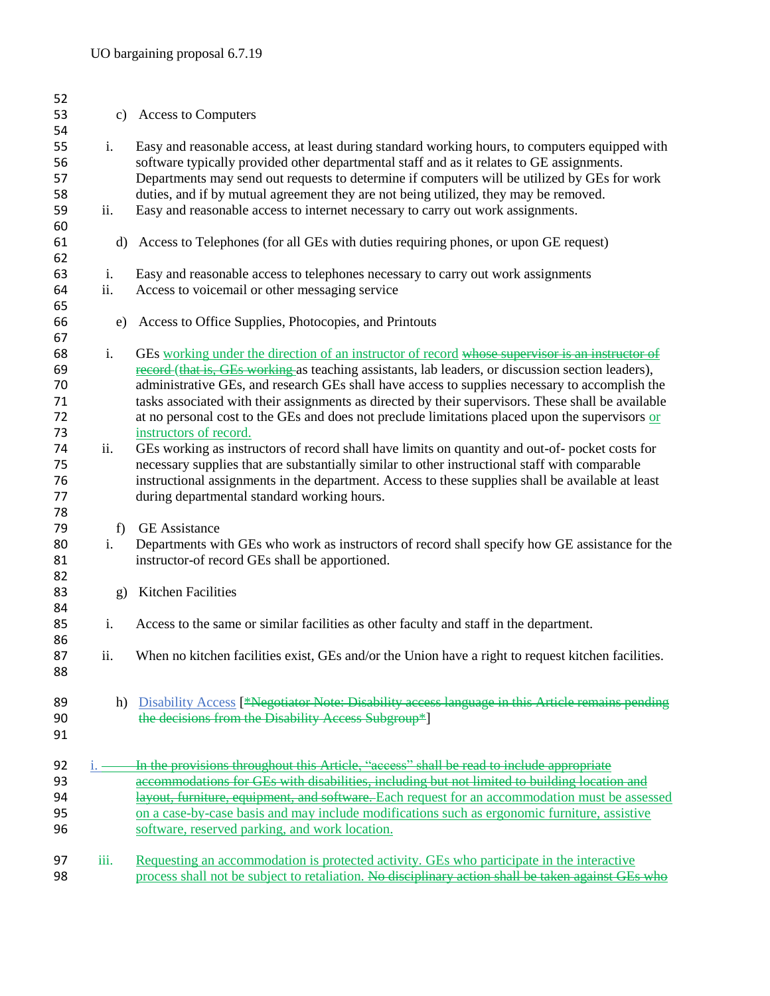| 52 |              |                                                                                                    |
|----|--------------|----------------------------------------------------------------------------------------------------|
| 53 | c)           | <b>Access to Computers</b>                                                                         |
| 54 |              |                                                                                                    |
| 55 | i.           | Easy and reasonable access, at least during standard working hours, to computers equipped with     |
| 56 |              | software typically provided other departmental staff and as it relates to GE assignments.          |
| 57 |              | Departments may send out requests to determine if computers will be utilized by GEs for work       |
| 58 |              | duties, and if by mutual agreement they are not being utilized, they may be removed.               |
| 59 | ii.          | Easy and reasonable access to internet necessary to carry out work assignments.                    |
| 60 |              |                                                                                                    |
| 61 | d)           | Access to Telephones (for all GEs with duties requiring phones, or upon GE request)                |
| 62 |              |                                                                                                    |
| 63 | i.           | Easy and reasonable access to telephones necessary to carry out work assignments                   |
| 64 | ii.          | Access to voicemail or other messaging service                                                     |
| 65 |              |                                                                                                    |
| 66 | e)           | Access to Office Supplies, Photocopies, and Printouts                                              |
| 67 |              |                                                                                                    |
| 68 | i.           | GEs working under the direction of an instructor of record whose supervisor is an instructor of    |
| 69 |              | record (that is, GEs working as teaching assistants, lab leaders, or discussion section leaders),  |
| 70 |              | administrative GEs, and research GEs shall have access to supplies necessary to accomplish the     |
| 71 |              | tasks associated with their assignments as directed by their supervisors. These shall be available |
| 72 |              | at no personal cost to the GEs and does not preclude limitations placed upon the supervisors or    |
| 73 |              | instructors of record.                                                                             |
| 74 | ii.          | GEs working as instructors of record shall have limits on quantity and out-of- pocket costs for    |
| 75 |              | necessary supplies that are substantially similar to other instructional staff with comparable     |
| 76 |              | instructional assignments in the department. Access to these supplies shall be available at least  |
| 77 |              | during departmental standard working hours.                                                        |
| 78 |              |                                                                                                    |
| 79 | f)           | <b>GE</b> Assistance                                                                               |
| 80 | i.           | Departments with GEs who work as instructors of record shall specify how GE assistance for the     |
| 81 |              | instructor-of record GEs shall be apportioned.                                                     |
| 82 |              |                                                                                                    |
| 83 | $\mathbf{g}$ | Kitchen Facilities                                                                                 |
| 84 |              |                                                                                                    |
| 85 | i.           | Access to the same or similar facilities as other faculty and staff in the department.             |
| 86 |              |                                                                                                    |
| 87 | ii.          | When no kitchen facilities exist, GEs and/or the Union have a right to request kitchen facilities. |
| 88 |              |                                                                                                    |
|    |              |                                                                                                    |
| 89 |              | h) Disability Access [*Negotiator Note: Disability access language in this Article remains pending |
| 90 |              | the decisions from the Disability Access Subgroup*]                                                |
| 91 |              |                                                                                                    |
|    |              |                                                                                                    |
| 92 | $i.$ —       | In the provisions throughout this Article, "access" shall be read to include appropriate           |
| 93 |              | accommodations for GEs with disabilities, including but not limited to building location and       |
| 94 |              | layout, furniture, equipment, and software. Each request for an accommodation must be assessed     |
| 95 |              | on a case-by-case basis and may include modifications such as ergonomic furniture, assistive       |
| 96 |              | software, reserved parking, and work location.                                                     |
|    |              |                                                                                                    |
| 97 | iii.         | Requesting an accommodation is protected activity. GEs who participate in the interactive          |
| 98 |              | process shall not be subject to retaliation. No disciplinary action shall be taken against GEs who |
|    |              |                                                                                                    |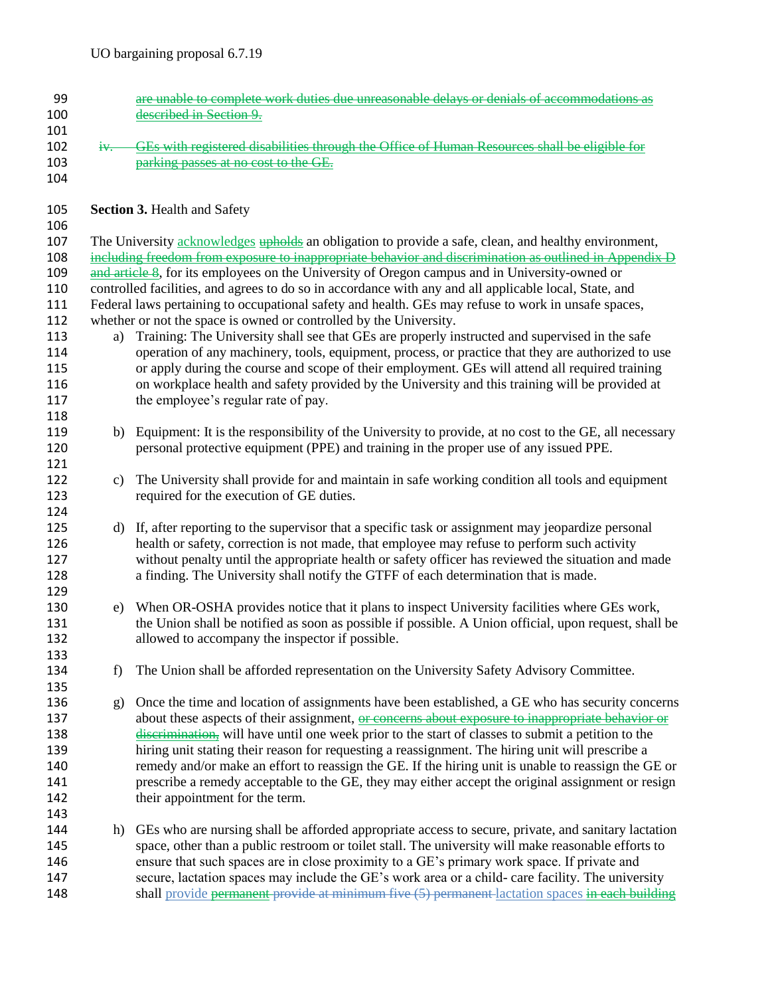| 99         |        | are unable to complete work duties due unreasonable delays or denials of accommodations as                                                                                                                            |
|------------|--------|-----------------------------------------------------------------------------------------------------------------------------------------------------------------------------------------------------------------------|
| 100        |        | described in Section 9.                                                                                                                                                                                               |
| 101        |        |                                                                                                                                                                                                                       |
| 102        | $iv -$ | GEs with registered disabilities through the Office of Human Resources shall be eligible for                                                                                                                          |
| 103        |        | parking passes at no cost to the GE.                                                                                                                                                                                  |
| 104        |        |                                                                                                                                                                                                                       |
| 105        |        | <b>Section 3. Health and Safety</b>                                                                                                                                                                                   |
| 106        |        |                                                                                                                                                                                                                       |
| 107<br>108 |        | The University <b>acknowledges</b> upholds an obligation to provide a safe, clean, and healthy environment,<br>including freedom from exposure to inappropriate behavior and discrimination as outlined in Appendix D |
| 109        |        | and article 8, for its employees on the University of Oregon campus and in University-owned or                                                                                                                        |
| 110        |        | controlled facilities, and agrees to do so in accordance with any and all applicable local, State, and                                                                                                                |
| 111        |        | Federal laws pertaining to occupational safety and health. GEs may refuse to work in unsafe spaces,                                                                                                                   |
| 112        |        | whether or not the space is owned or controlled by the University.                                                                                                                                                    |
| 113        | a)     | Training: The University shall see that GEs are properly instructed and supervised in the safe                                                                                                                        |
| 114        |        | operation of any machinery, tools, equipment, process, or practice that they are authorized to use                                                                                                                    |
| 115        |        | or apply during the course and scope of their employment. GEs will attend all required training                                                                                                                       |
| 116        |        | on workplace health and safety provided by the University and this training will be provided at                                                                                                                       |
| 117        |        | the employee's regular rate of pay.                                                                                                                                                                                   |
| 118        |        |                                                                                                                                                                                                                       |
| 119        | b)     | Equipment: It is the responsibility of the University to provide, at no cost to the GE, all necessary                                                                                                                 |
| 120        |        | personal protective equipment (PPE) and training in the proper use of any issued PPE.                                                                                                                                 |
| 121        |        |                                                                                                                                                                                                                       |
| 122        | c)     | The University shall provide for and maintain in safe working condition all tools and equipment                                                                                                                       |
| 123        |        | required for the execution of GE duties.                                                                                                                                                                              |
| 124<br>125 |        |                                                                                                                                                                                                                       |
| 126        |        | d) If, after reporting to the supervisor that a specific task or assignment may jeopardize personal<br>health or safety, correction is not made, that employee may refuse to perform such activity                    |
| 127        |        | without penalty until the appropriate health or safety officer has reviewed the situation and made                                                                                                                    |
| 128        |        | a finding. The University shall notify the GTFF of each determination that is made.                                                                                                                                   |
| 129        |        |                                                                                                                                                                                                                       |
| 130        | e)     | When OR-OSHA provides notice that it plans to inspect University facilities where GEs work,                                                                                                                           |
| 131        |        | the Union shall be notified as soon as possible if possible. A Union official, upon request, shall be                                                                                                                 |
| 132        |        | allowed to accompany the inspector if possible.                                                                                                                                                                       |
| 133        |        |                                                                                                                                                                                                                       |
| 134        | f)     | The Union shall be afforded representation on the University Safety Advisory Committee.                                                                                                                               |
| 135        |        |                                                                                                                                                                                                                       |
| 136        | g)     | Once the time and location of assignments have been established, a GE who has security concerns                                                                                                                       |
| 137        |        | about these aspects of their assignment, or concerns about exposure to inappropriate behavior or                                                                                                                      |
| 138        |        | discrimination, will have until one week prior to the start of classes to submit a petition to the                                                                                                                    |
| 139        |        | hiring unit stating their reason for requesting a reassignment. The hiring unit will prescribe a                                                                                                                      |
| 140        |        | remedy and/or make an effort to reassign the GE. If the hiring unit is unable to reassign the GE or                                                                                                                   |
| 141        |        | prescribe a remedy acceptable to the GE, they may either accept the original assignment or resign                                                                                                                     |
| 142        |        | their appointment for the term.                                                                                                                                                                                       |
| 143        |        |                                                                                                                                                                                                                       |
| 144        | h)     | GEs who are nursing shall be afforded appropriate access to secure, private, and sanitary lactation                                                                                                                   |
| 145        |        | space, other than a public restroom or toilet stall. The university will make reasonable efforts to                                                                                                                   |
| 146        |        | ensure that such spaces are in close proximity to a GE's primary work space. If private and                                                                                                                           |
| 147        |        | secure, lactation spaces may include the GE's work area or a child- care facility. The university                                                                                                                     |
| 148        |        | shall provide permanent provide at minimum five (5) permanent lactation spaces in each building                                                                                                                       |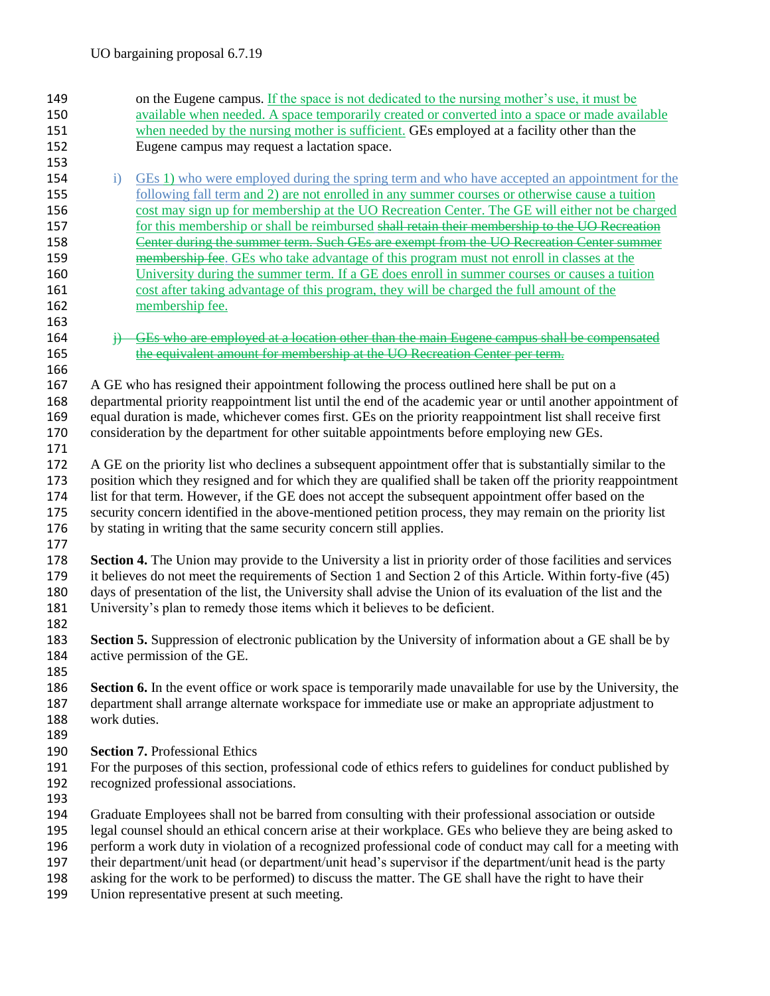| 149 |                                                                                                           | on the Eugene campus. If the space is not dedicated to the nursing mother's use, it must be                                                                                                                               |  |
|-----|-----------------------------------------------------------------------------------------------------------|---------------------------------------------------------------------------------------------------------------------------------------------------------------------------------------------------------------------------|--|
| 150 |                                                                                                           | available when needed. A space temporarily created or converted into a space or made available                                                                                                                            |  |
| 151 |                                                                                                           | when needed by the nursing mother is sufficient. GEs employed at a facility other than the                                                                                                                                |  |
| 152 |                                                                                                           | Eugene campus may request a lactation space.                                                                                                                                                                              |  |
| 153 |                                                                                                           |                                                                                                                                                                                                                           |  |
| 154 | $\ddot{i}$                                                                                                | GEs 1) who were employed during the spring term and who have accepted an appointment for the                                                                                                                              |  |
| 155 |                                                                                                           | following fall term and 2) are not enrolled in any summer courses or otherwise cause a tuition                                                                                                                            |  |
| 156 |                                                                                                           | cost may sign up for membership at the UO Recreation Center. The GE will either not be charged                                                                                                                            |  |
| 157 |                                                                                                           | for this membership or shall be reimbursed shall retain their membership to the UO Recreation                                                                                                                             |  |
| 158 |                                                                                                           | Center during the summer term. Such GEs are exempt from the UO Recreation Center summer                                                                                                                                   |  |
| 159 |                                                                                                           | membership fee. GEs who take advantage of this program must not enroll in classes at the                                                                                                                                  |  |
| 160 |                                                                                                           | University during the summer term. If a GE does enroll in summer courses or causes a tuition                                                                                                                              |  |
| 161 |                                                                                                           | cost after taking advantage of this program, they will be charged the full amount of the                                                                                                                                  |  |
| 162 |                                                                                                           | membership fee.                                                                                                                                                                                                           |  |
| 163 |                                                                                                           |                                                                                                                                                                                                                           |  |
| 164 |                                                                                                           | GEs who are employed at a location other than the main Eugene campus shall be compensated                                                                                                                                 |  |
| 165 |                                                                                                           | the equivalent amount for membership at the UO Recreation Center per term.                                                                                                                                                |  |
| 166 |                                                                                                           |                                                                                                                                                                                                                           |  |
| 167 |                                                                                                           | A GE who has resigned their appointment following the process outlined here shall be put on a                                                                                                                             |  |
| 168 |                                                                                                           | departmental priority reappointment list until the end of the academic year or until another appointment of                                                                                                               |  |
| 169 |                                                                                                           | equal duration is made, whichever comes first. GEs on the priority reappointment list shall receive first                                                                                                                 |  |
| 170 |                                                                                                           | consideration by the department for other suitable appointments before employing new GEs.                                                                                                                                 |  |
| 171 |                                                                                                           |                                                                                                                                                                                                                           |  |
| 172 |                                                                                                           | A GE on the priority list who declines a subsequent appointment offer that is substantially similar to the                                                                                                                |  |
| 173 |                                                                                                           | position which they resigned and for which they are qualified shall be taken off the priority reappointment                                                                                                               |  |
| 174 |                                                                                                           | list for that term. However, if the GE does not accept the subsequent appointment offer based on the                                                                                                                      |  |
| 175 |                                                                                                           | security concern identified in the above-mentioned petition process, they may remain on the priority list                                                                                                                 |  |
| 176 |                                                                                                           | by stating in writing that the same security concern still applies.                                                                                                                                                       |  |
| 177 |                                                                                                           |                                                                                                                                                                                                                           |  |
| 178 |                                                                                                           | <b>Section 4.</b> The Union may provide to the University a list in priority order of those facilities and services                                                                                                       |  |
| 179 |                                                                                                           | it believes do not meet the requirements of Section 1 and Section 2 of this Article. Within forty-five (45)                                                                                                               |  |
| 180 |                                                                                                           | days of presentation of the list, the University shall advise the Union of its evaluation of the list and the                                                                                                             |  |
| 181 |                                                                                                           | University's plan to remedy those items which it believes to be deficient.                                                                                                                                                |  |
| 182 |                                                                                                           |                                                                                                                                                                                                                           |  |
| 183 |                                                                                                           | <b>Section 5.</b> Suppression of electronic publication by the University of information about a GE shall be by                                                                                                           |  |
| 184 |                                                                                                           | active permission of the GE.                                                                                                                                                                                              |  |
| 185 |                                                                                                           |                                                                                                                                                                                                                           |  |
| 186 |                                                                                                           |                                                                                                                                                                                                                           |  |
| 187 |                                                                                                           | <b>Section 6.</b> In the event office or work space is temporarily made unavailable for use by the University, the<br>department shall arrange alternate workspace for immediate use or make an appropriate adjustment to |  |
| 188 | work duties.                                                                                              |                                                                                                                                                                                                                           |  |
| 189 |                                                                                                           |                                                                                                                                                                                                                           |  |
| 190 |                                                                                                           |                                                                                                                                                                                                                           |  |
| 191 |                                                                                                           | <b>Section 7. Professional Ethics</b>                                                                                                                                                                                     |  |
| 192 |                                                                                                           | For the purposes of this section, professional code of ethics refers to guidelines for conduct published by                                                                                                               |  |
|     |                                                                                                           | recognized professional associations.                                                                                                                                                                                     |  |
| 193 |                                                                                                           |                                                                                                                                                                                                                           |  |
| 194 |                                                                                                           | Graduate Employees shall not be barred from consulting with their professional association or outside                                                                                                                     |  |
| 195 |                                                                                                           | legal counsel should an ethical concern arise at their workplace. GEs who believe they are being asked to                                                                                                                 |  |
| 196 | perform a work duty in violation of a recognized professional code of conduct may call for a meeting with |                                                                                                                                                                                                                           |  |
| 197 |                                                                                                           | their department/unit head (or department/unit head's supervisor if the department/unit head is the party                                                                                                                 |  |
| 198 |                                                                                                           | asking for the work to be performed) to discuss the matter. The GE shall have the right to have their                                                                                                                     |  |
| 199 |                                                                                                           | Union representative present at such meeting.                                                                                                                                                                             |  |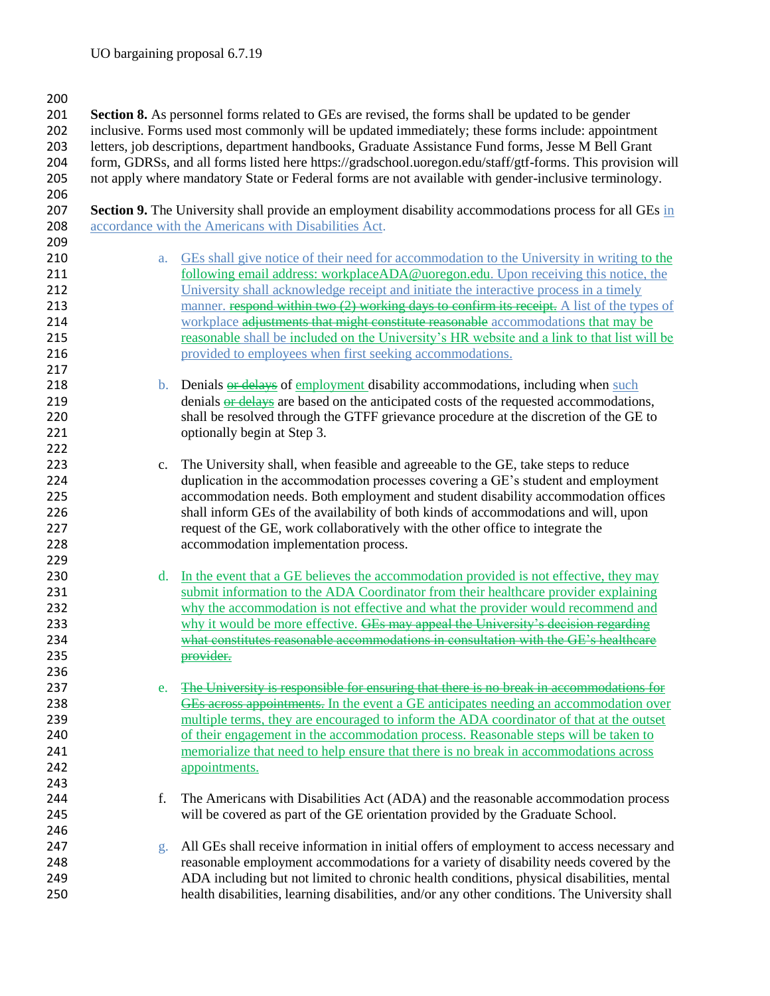**Section 8.** As personnel forms related to GEs are revised, the forms shall be updated to be gender inclusive. Forms used most commonly will be updated immediately; these forms include: appointment letters, job descriptions, department handbooks, Graduate Assistance Fund forms, Jesse M Bell Grant form, GDRSs, and all forms listed here https://gradschool.uoregon.edu/staff/gtf-forms. This provision will not apply where mandatory State or Federal forms are not available with gender-inclusive terminology. **Section 9.** The University shall provide an employment disability accommodations process for all GEs in

208 accordance with the Americans with Disabilities Act. 

- a. GEs shall give notice of their need for accommodation to the University in writing to the following email address: workplaceADA@uoregon.edu. Upon receiving this notice, the University shall acknowledge receipt and initiate the interactive process in a timely 213 manner. respond within two (2) working days to confirm its receipt. A list of the types of 214 workplace adjustments that might constitute reasonable accommodations that may be reasonable shall be included on the University's HR website and a link to that list will be provided to employees when first seeking accommodations.
- 218 b. Denials or delays of employment disability accommodations, including when such 219 denials or delays are based on the anticipated costs of the requested accommodations, shall be resolved through the GTFF grievance procedure at the discretion of the GE to 221 optionally begin at Step 3.
- c. The University shall, when feasible and agreeable to the GE, take steps to reduce duplication in the accommodation processes covering a GE's student and employment accommodation needs. Both employment and student disability accommodation offices shall inform GEs of the availability of both kinds of accommodations and will, upon request of the GE, work collaboratively with the other office to integrate the accommodation implementation process.
- 230 d. In the event that a GE believes the accommodation provided is not effective, they may 231 submit information to the ADA Coordinator from their healthcare provider explaining why the accommodation is not effective and what the provider would recommend and 233 why it would be more effective. GEs may appeal the University's decision regarding what constitutes reasonable accommodations in consultation with the GE's healthcare provider.
- 237 e. The University is responsible for ensuring that there is no break in accommodations for 238 <del>GEs across appointments.</del> In the event a GE anticipates needing an accommodation over multiple terms, they are encouraged to inform the ADA coordinator of that at the outset 240 of their engagement in the accommodation process. Reasonable steps will be taken to memorialize that need to help ensure that there is no break in accommodations across 242 appointments.
- f. The Americans with Disabilities Act (ADA) and the reasonable accommodation process will be covered as part of the GE orientation provided by the Graduate School.
- 247 g. All GEs shall receive information in initial offers of employment to access necessary and reasonable employment accommodations for a variety of disability needs covered by the ADA including but not limited to chronic health conditions, physical disabilities, mental health disabilities, learning disabilities, and/or any other conditions. The University shall